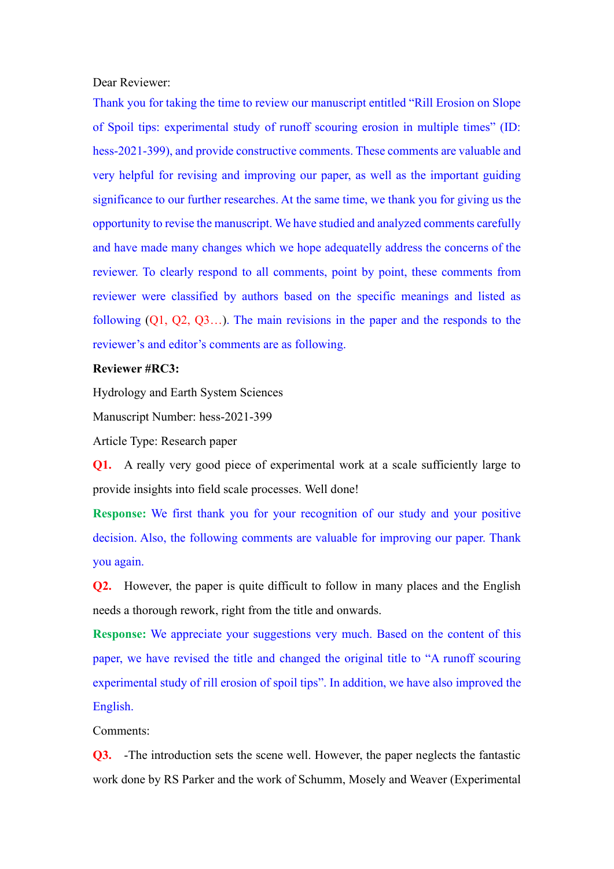Dear Reviewer:

Thank you for taking the time to review our manuscript entitled "Rill Erosion on Slope of Spoil tips: experimental study of runoff scouring erosion in multiple times" (ID: hess-2021-399), and provide constructive comments. These comments are valuable and very helpful for revising and improving our paper, as well as the important guiding significance to our further researches. At the same time, we thank you for giving us the opportunity to revise the manuscript. We have studied and analyzed comments carefully and have made many changes which we hope adequatelly address the concerns of the reviewer. To clearly respond to all comments, point by point, these comments from reviewer were classified by authors based on the specific meanings and listed as following (Q1, Q2, Q3…). The main revisions in the paper and the responds to the reviewer's and editor's comments are as following.

## **Reviewer #RC3:**

Hydrology and Earth System Sciences

Manuscript Number: hess-2021-399

Article Type: Research paper

**Q1.** A really very good piece of experimental work at a scale sufficiently large to provide insights into field scale processes. Well done!

**Response:** We first thank you for your recognition of our study and your positive decision. Also, the following comments are valuable for improving our paper. Thank you again.

**Q2.** However, the paper is quite difficult to follow in many places and the English needs a thorough rework, right from the title and onwards.

**Response:** We appreciate your suggestions very much. Based on the content of this paper, we have revised the title and changed the original title to "A runoff scouring experimental study of rill erosion of spoil tips". In addition, we have also improved the English.

Comments:

**Q3.** -The introduction sets the scene well. However, the paper neglects the fantastic work done by RS Parker and the work of Schumm, Mosely and Weaver (Experimental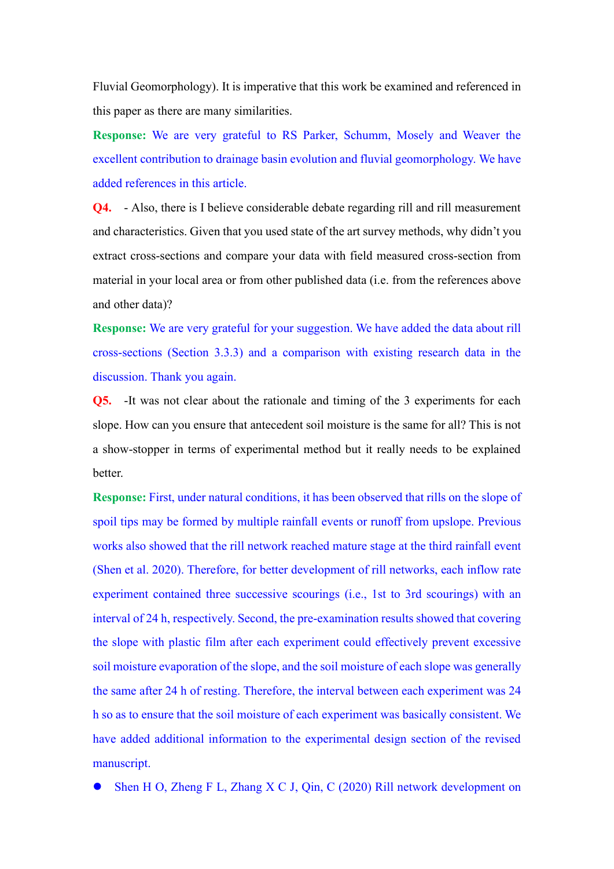Fluvial Geomorphology). It is imperative that this work be examined and referenced in this paper as there are many similarities.

**Response:** We are very grateful to RS Parker, Schumm, Mosely and Weaver the excellent contribution to drainage basin evolution and fluvial geomorphology. We have added references in this article.

**Q4.** - Also, there is I believe considerable debate regarding rill and rill measurement and characteristics. Given that you used state of the art survey methods, why didn't you extract cross-sections and compare your data with field measured cross-section from material in your local area or from other published data (i.e. from the references above and other data)?

**Response:** We are very grateful for your suggestion. We have added the data about rill cross-sections (Section 3.3.3) and a comparison with existing research data in the discussion. Thank you again.

**Q5.** It was not clear about the rationale and timing of the 3 experiments for each slope. How can you ensure that antecedent soil moisture is the same for all? This is not a show-stopper in terms of experimental method but it really needs to be explained better.

**Response:** First, under natural conditions, it has been observed that rills on the slope of spoil tips may be formed by multiple rainfall events or runoff from upslope. Previous works also showed that the rill network reached mature stage at the third rainfall event (Shen et al. 2020). Therefore, for better development of rill networks, each inflow rate experiment contained three successive scourings (i.e., 1st to 3rd scourings) with an interval of 24 h, respectively. Second, the pre-examination results showed that covering the slope with plastic film after each experiment could effectively prevent excessive soil moisture evaporation of the slope, and the soil moisture of each slope was generally the same after 24 h of resting. Therefore, the interval between each experiment was 24 h so as to ensure that the soil moisture of each experiment was basically consistent. We have added additional information to the experimental design section of the revised manuscript.

Shen H O, Zheng F L, Zhang X C J, Qin, C (2020) Rill network development on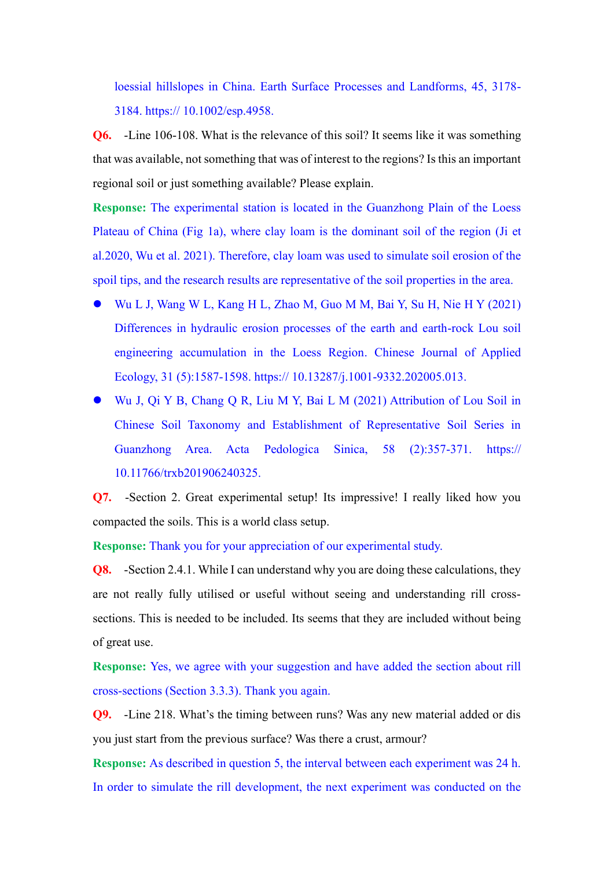loessial hillslopes in China. Earth Surface Processes and Landforms, 45, 3178- 3184. https:// 10.1002/esp.4958.

**Q6.** -Line 106-108. What is the relevance of this soil? It seems like it was something that was available, not something that was of interest to the regions? Is this an important regional soil or just something available? Please explain.

**Response:** The experimental station is located in the Guanzhong Plain of the Loess Plateau of China (Fig 1a), where clay loam is the dominant soil of the region (Ji et al.2020, Wu et al. 2021). Therefore, clay loam was used to simulate soil erosion of the spoil tips, and the research results are representative of the soil properties in the area.

- Wu L J, Wang W L, Kang H L, Zhao M, Guo M M, Bai Y, Su H, Nie H Y (2021) Differences in hydraulic erosion processes of the earth and earth-rock Lou soil engineering accumulation in the Loess Region. Chinese Journal of Applied Ecology, 31 (5):1587-1598. https:// 10.13287/j.1001-9332.202005.013.
- Wu J, Qi Y B, Chang Q R, Liu M Y, Bai L M (2021) Attribution of Lou Soil in Chinese Soil Taxonomy and Establishment of Representative Soil Series in Guanzhong Area. Acta Pedologica Sinica, 58 (2):357-371. https:// 10.11766/trxb201906240325.

**Q7.** -Section 2. Great experimental setup! Its impressive! I really liked how you compacted the soils. This is a world class setup.

**Response:** Thank you for your appreciation of our experimental study.

**Q8.** -Section 2.4.1. While I can understand why you are doing these calculations, they are not really fully utilised or useful without seeing and understanding rill crosssections. This is needed to be included. Its seems that they are included without being of great use.

**Response:** Yes, we agree with your suggestion and have added the section about rill cross-sections (Section 3.3.3). Thank you again.

**Q9.** -Line 218. What's the timing between runs? Was any new material added or dis you just start from the previous surface? Was there a crust, armour?

**Response:** As described in question 5, the interval between each experiment was 24 h. In order to simulate the rill development, the next experiment was conducted on the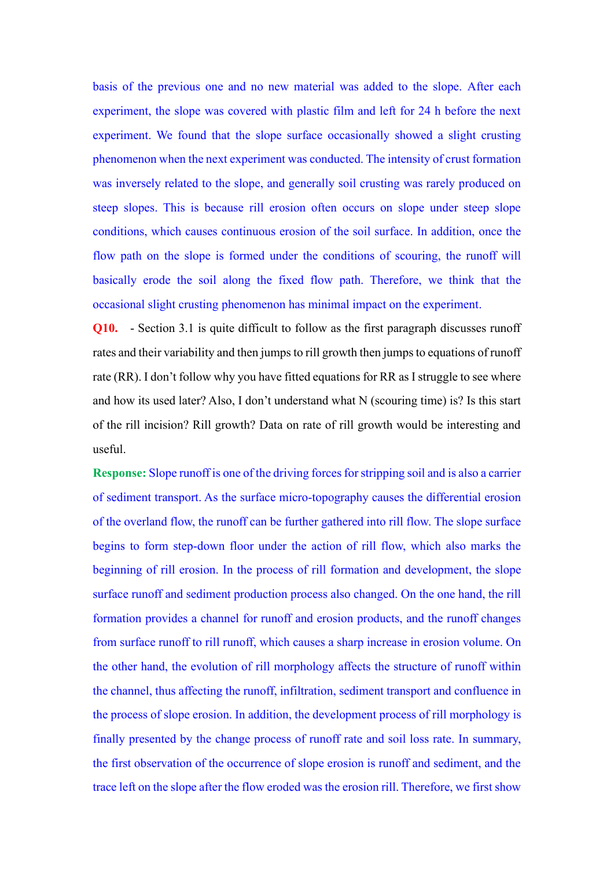basis of the previous one and no new material was added to the slope. After each experiment, the slope was covered with plastic film and left for 24 h before the next experiment. We found that the slope surface occasionally showed a slight crusting phenomenon when the next experiment was conducted. The intensity of crust formation was inversely related to the slope, and generally soil crusting was rarely produced on steep slopes. This is because rill erosion often occurs on slope under steep slope conditions, which causes continuous erosion of the soil surface. In addition, once the flow path on the slope is formed under the conditions of scouring, the runoff will basically erode the soil along the fixed flow path. Therefore, we think that the occasional slight crusting phenomenon has minimal impact on the experiment.

**Q10.** - Section 3.1 is quite difficult to follow as the first paragraph discusses runoff rates and their variability and then jumps to rill growth then jumps to equations of runoff rate (RR). I don't follow why you have fitted equations for RR as I struggle to see where and how its used later? Also, I don't understand what N (scouring time) is? Is this start of the rill incision? Rill growth? Data on rate of rill growth would be interesting and useful.

**Response:** Slope runoff is one of the driving forces for stripping soil and is also a carrier of sediment transport. As the surface micro-topography causes the differential erosion of the overland flow, the runoff can be further gathered into rill flow. The slope surface begins to form step-down floor under the action of rill flow, which also marks the beginning of rill erosion. In the process of rill formation and development, the slope surface runoff and sediment production process also changed. On the one hand, the rill formation provides a channel for runoff and erosion products, and the runoff changes from surface runoff to rill runoff, which causes a sharp increase in erosion volume. On the other hand, the evolution of rill morphology affects the structure of runoff within the channel, thus affecting the runoff, infiltration, sediment transport and confluence in the process of slope erosion. In addition, the development process of rill morphology is finally presented by the change process of runoff rate and soil loss rate. In summary, the first observation of the occurrence of slope erosion is runoff and sediment, and the trace left on the slope after the flow eroded was the erosion rill. Therefore, we first show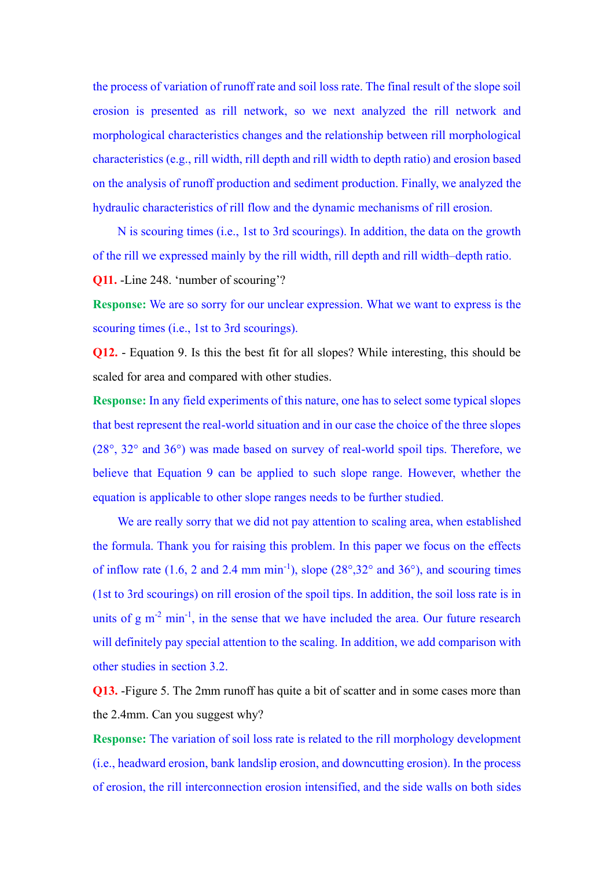the process of variation of runoff rate and soil loss rate. The final result of the slope soil erosion is presented as rill network, so we next analyzed the rill network and morphological characteristics changes and the relationship between rill morphological characteristics (e.g., rill width, rill depth and rill width to depth ratio) and erosion based on the analysis of runoff production and sediment production. Finally, we analyzed the hydraulic characteristics of rill flow and the dynamic mechanisms of rill erosion.

N is scouring times (i.e., 1st to 3rd scourings). In addition, the data on the growth of the rill we expressed mainly by the rill width, rill depth and rill width–depth ratio.

**Q11.** -Line 248. 'number of scouring'?

**Response:** We are so sorry for our unclear expression. What we want to express is the scouring times (i.e., 1st to 3rd scourings).

**Q12.** - Equation 9. Is this the best fit for all slopes? While interesting, this should be scaled for area and compared with other studies.

**Response:** In any field experiments of this nature, one has to select some typical slopes that best represent the real-world situation and in our case the choice of the three slopes (28°, 32° and 36°) was made based on survey of real-world spoil tips. Therefore, we believe that Equation 9 can be applied to such slope range. However, whether the equation is applicable to other slope ranges needs to be further studied.

We are really sorry that we did not pay attention to scaling area, when established the formula. Thank you for raising this problem. In this paper we focus on the effects of inflow rate  $(1.6, 2 \text{ and } 2.4 \text{ mm min}^{-1})$ , slope  $(28^{\circ}, 32^{\circ} \text{ and } 36^{\circ})$ , and scouring times (1st to 3rd scourings) on rill erosion of the spoil tips. In addition, the soil loss rate is in units of  $g m<sup>-2</sup> min<sup>-1</sup>$ , in the sense that we have included the area. Our future research will definitely pay special attention to the scaling. In addition, we add comparison with other studies in section 3.2.

**Q13.** -Figure 5. The 2mm runoff has quite a bit of scatter and in some cases more than the 2.4mm. Can you suggest why?

**Response:** The variation of soil loss rate is related to the rill morphology development (i.e., headward erosion, bank landslip erosion, and downcutting erosion). In the process of erosion, the rill interconnection erosion intensified, and the side walls on both sides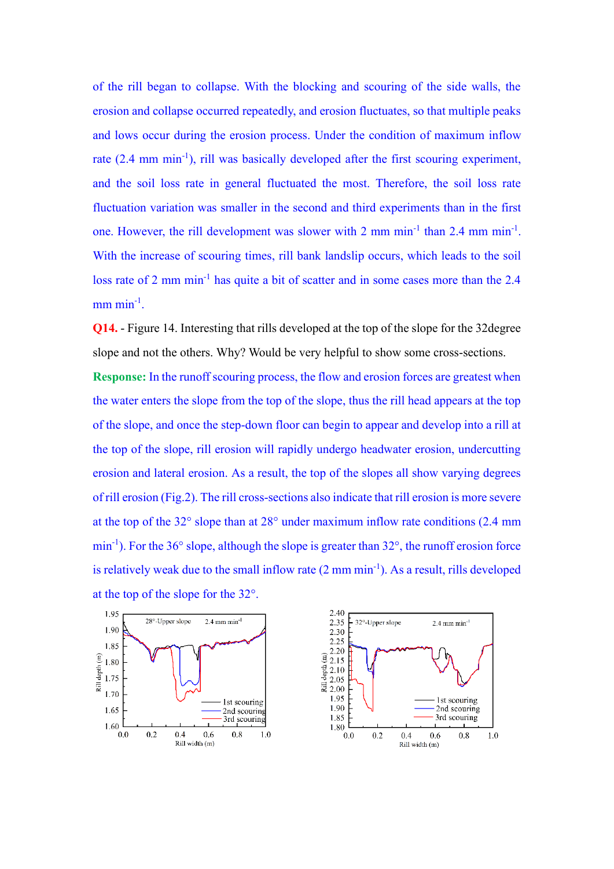of the rill began to collapse. With the blocking and scouring of the side walls, the erosion and collapse occurred repeatedly, and erosion fluctuates, so that multiple peaks and lows occur during the erosion process. Under the condition of maximum inflow rate (2.4 mm min<sup>-1</sup>), rill was basically developed after the first scouring experiment, and the soil loss rate in general fluctuated the most. Therefore, the soil loss rate fluctuation variation was smaller in the second and third experiments than in the first one. However, the rill development was slower with 2 mm min<sup>-1</sup> than 2.4 mm min<sup>-1</sup>. With the increase of scouring times, rill bank landslip occurs, which leads to the soil loss rate of 2 mm min<sup>-1</sup> has quite a bit of scatter and in some cases more than the 2.4  $mm \text{ min}^{-1}$ .

**Q14.** - Figure 14. Interesting that rills developed at the top of the slope for the 32degree slope and not the others. Why? Would be very helpful to show some cross-sections. **Response:** In the runoff scouring process, the flow and erosion forces are greatest when the water enters the slope from the top of the slope, thus the rill head appears at the top of the slope, and once the step-down floor can begin to appear and develop into a rill at the top of the slope, rill erosion will rapidly undergo headwater erosion, undercutting erosion and lateral erosion. As a result, the top of the slopes all show varying degrees of rill erosion (Fig.2). The rill cross-sections also indicate that rill erosion is more severe at the top of the 32° slope than at 28° under maximum inflow rate conditions (2.4 mm min<sup>-1</sup>). For the 36° slope, although the slope is greater than 32°, the runoff erosion force is relatively weak due to the small inflow rate  $(2 \text{ mm min}^{-1})$ . As a result, rills developed at the top of the slope for the 32°.



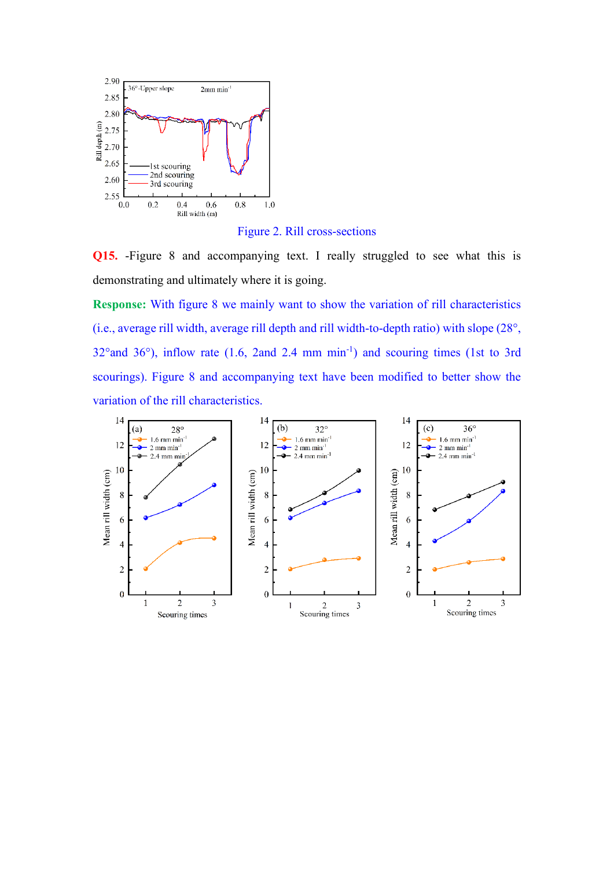

Figure 2. Rill cross-sections

**Q15.** -Figure 8 and accompanying text. I really struggled to see what this is demonstrating and ultimately where it is going.

**Response:** With figure 8 we mainly want to show the variation of rill characteristics (i.e., average rill width, average rill depth and rill width-to-depth ratio) with slope (28°,  $32^{\circ}$  and  $36^{\circ}$ ), inflow rate (1.6, 2and 2.4 mm min<sup>-1</sup>) and scouring times (1st to 3rd scourings). Figure 8 and accompanying text have been modified to better show the variation of the rill characteristics.

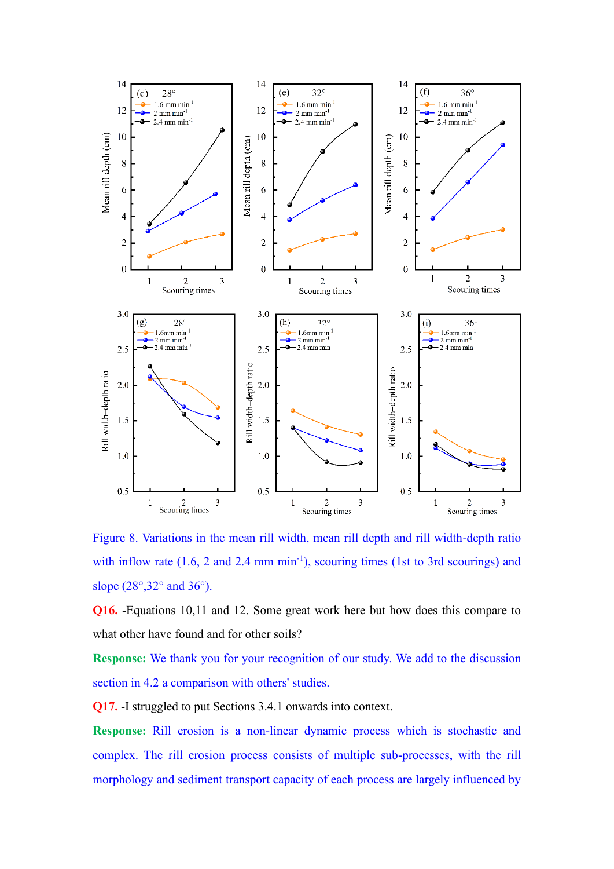

Figure 8. Variations in the mean rill width, mean rill depth and rill width-depth ratio with inflow rate  $(1.6, 2 \text{ and } 2.4 \text{ mm min}^{-1})$ , scouring times  $(1st \text{ to } 3rd \text{ s}\text{c}\text{ourings})$  and slope (28°, 32° and 36°).

**Q16.** -Equations 10,11 and 12. Some great work here but how does this compare to what other have found and for other soils?

**Response:** We thank you for your recognition of our study. We add to the discussion section in 4.2 a comparison with others' studies.

**Q17.** -I struggled to put Sections 3.4.1 onwards into context.

**Response:** Rill erosion is a non-linear dynamic process which is stochastic and complex. The rill erosion process consists of multiple sub-processes, with the rill morphology and sediment transport capacity of each process are largely influenced by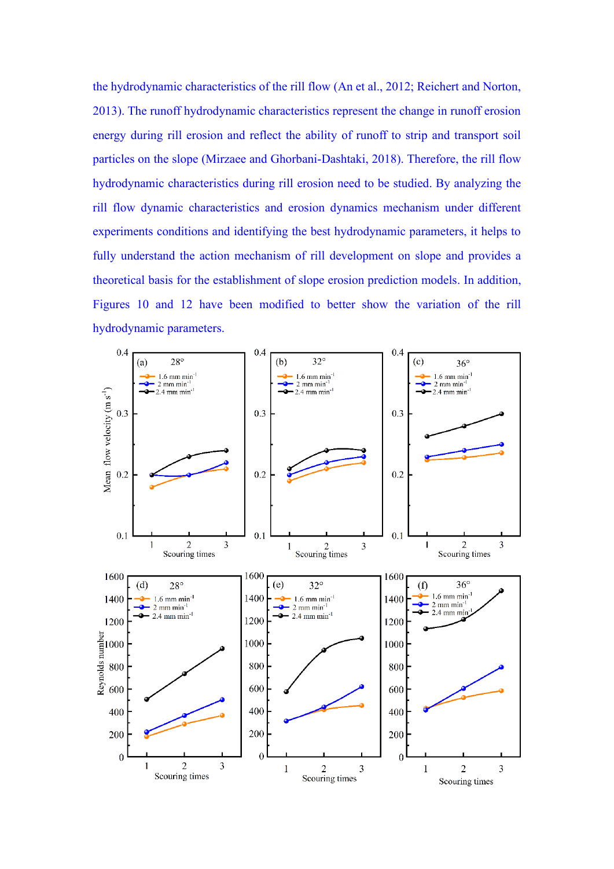the hydrodynamic characteristics of the rill flow (An et al., 2012; Reichert and Norton, 2013). The runoff hydrodynamic characteristics represent the change in runoff erosion energy during rill erosion and reflect the ability of runoff to strip and transport soil particles on the slope (Mirzaee and Ghorbani-Dashtaki, 2018). Therefore, the rill flow hydrodynamic characteristics during rill erosion need to be studied. By analyzing the rill flow dynamic characteristics and erosion dynamics mechanism under different experiments conditions and identifying the best hydrodynamic parameters, it helps to fully understand the action mechanism of rill development on slope and provides a theoretical basis for the establishment of slope erosion prediction models. In addition, Figures 10 and 12 have been modified to better show the variation of the rill hydrodynamic parameters.

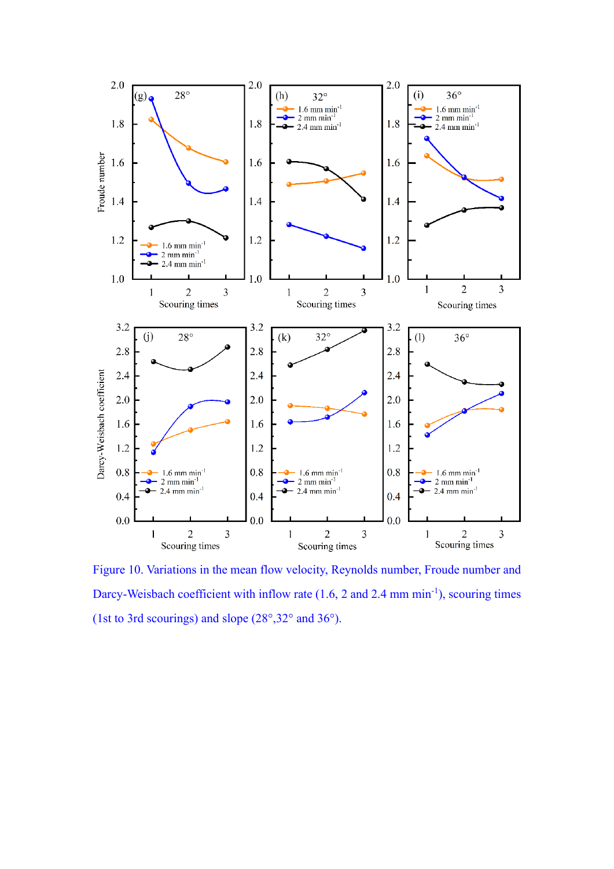

Figure 10. Variations in the mean flow velocity, Reynolds number, Froude number and Darcy-Weisbach coefficient with inflow rate (1.6, 2 and 2.4 mm min<sup>-1</sup>), scouring times (1st to 3rd scourings) and slope (28°,32° and 36°).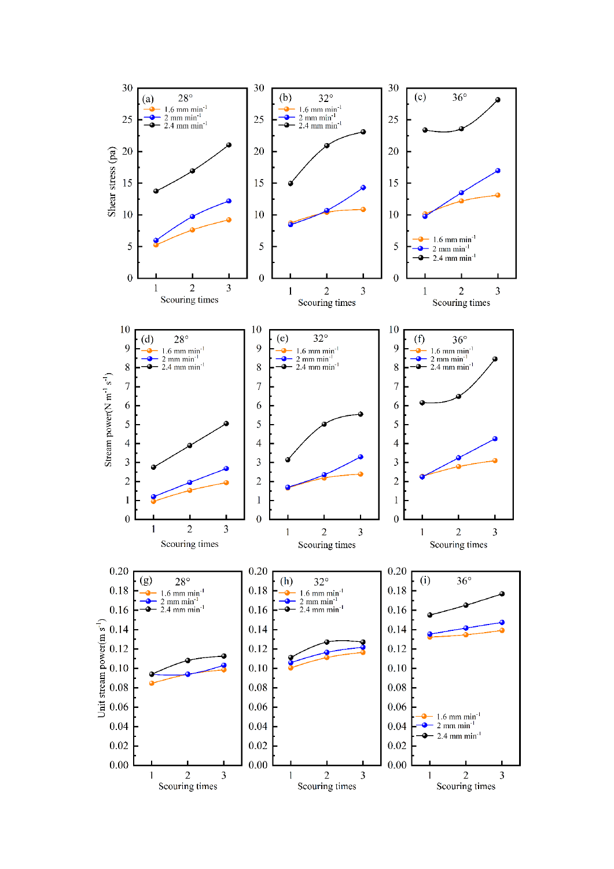